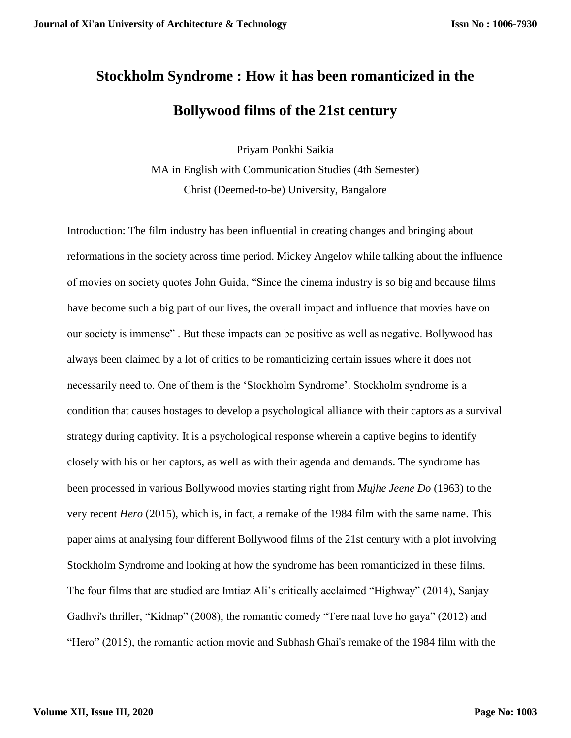## **Stockholm Syndrome : How it has been romanticized in the Bollywood films of the 21st century**

Priyam Ponkhi Saikia

MA in English with Communication Studies (4th Semester) Christ (Deemed-to-be) University, Bangalore

Introduction: The film industry has been influential in creating changes and bringing about reformations in the society across time period. Mickey Angelov while talking about the influence of movies on society quotes John Guida, "Since the cinema industry is so big and because films have become such a big part of our lives, the overall impact and influence that movies have on our society is immense" . But these impacts can be positive as well as negative. Bollywood has always been claimed by a lot of critics to be romanticizing certain issues where it does not necessarily need to. One of them is the 'Stockholm Syndrome'. Stockholm syndrome is a condition that causes hostages to develop a psychological alliance with their captors as a survival strategy during captivity. It is a psychological response wherein a captive begins to identify closely with his or her captors, as well as with their agenda and demands. The syndrome has been processed in various Bollywood movies starting right from *Mujhe Jeene Do* (1963) to the very recent *Hero* (2015), which is, in fact, a remake of the 1984 film with the same name. This paper aims at analysing four different Bollywood films of the 21st century with a plot involving Stockholm Syndrome and looking at how the syndrome has been romanticized in these films. The four films that are studied are Imtiaz Ali's critically acclaimed "Highway" (2014), Sanjay Gadhvi's thriller, "Kidnap" (2008), the romantic comedy "Tere naal love ho gaya" (2012) and "Hero" (2015), the romantic action movie and Subhash Ghai's remake of the 1984 film with the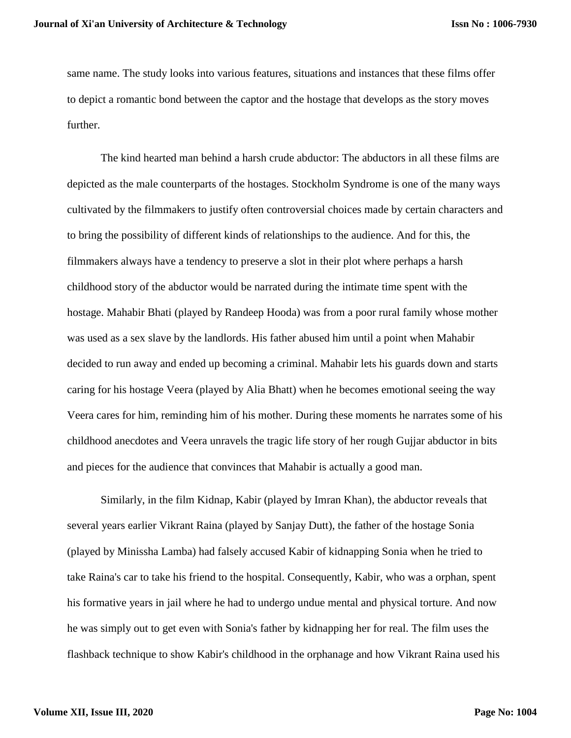same name. The study looks into various features, situations and instances that these films offer to depict a romantic bond between the captor and the hostage that develops as the story moves further.

The kind hearted man behind a harsh crude abductor: The abductors in all these films are depicted as the male counterparts of the hostages. Stockholm Syndrome is one of the many ways cultivated by the filmmakers to justify often controversial choices made by certain characters and to bring the possibility of different kinds of relationships to the audience. And for this, the filmmakers always have a tendency to preserve a slot in their plot where perhaps a harsh childhood story of the abductor would be narrated during the intimate time spent with the hostage. Mahabir Bhati (played by Randeep Hooda) was from a poor rural family whose mother was used as a sex slave by the landlords. His father abused him until a point when Mahabir decided to run away and ended up becoming a criminal. Mahabir lets his guards down and starts caring for his hostage Veera (played by Alia Bhatt) when he becomes emotional seeing the way Veera cares for him, reminding him of his mother. During these moments he narrates some of his childhood anecdotes and Veera unravels the tragic life story of her rough Gujjar abductor in bits and pieces for the audience that convinces that Mahabir is actually a good man.

Similarly, in the film Kidnap, Kabir (played by Imran Khan), the abductor reveals that several years earlier Vikrant Raina (played by Sanjay Dutt), the father of the hostage Sonia (played by Minissha Lamba) had falsely accused Kabir of kidnapping Sonia when he tried to take Raina's car to take his friend to the hospital. Consequently, Kabir, who was a orphan, spent his formative years in jail where he had to undergo undue mental and physical torture. And now he was simply out to get even with Sonia's father by kidnapping her for real. The film uses the flashback technique to show Kabir's childhood in the orphanage and how Vikrant Raina used his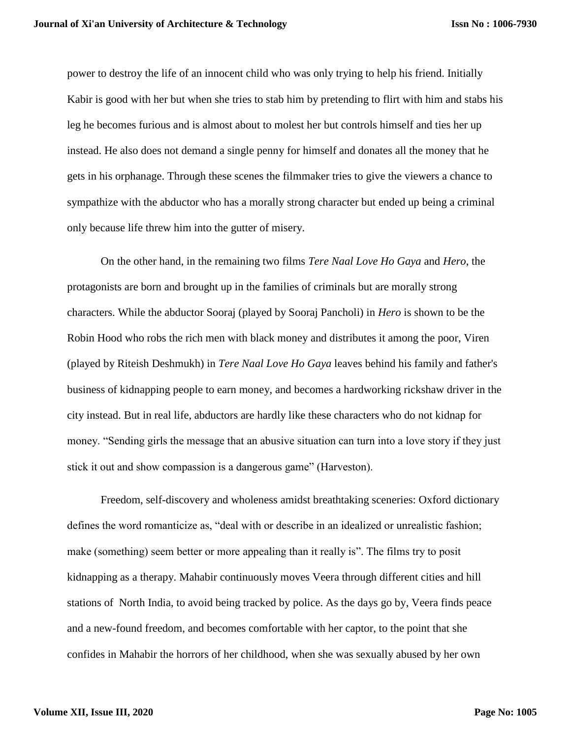power to destroy the life of an innocent child who was only trying to help his friend. Initially Kabir is good with her but when she tries to stab him by pretending to flirt with him and stabs his leg he becomes furious and is almost about to molest her but controls himself and ties her up instead. He also does not demand a single penny for himself and donates all the money that he gets in his orphanage. Through these scenes the filmmaker tries to give the viewers a chance to sympathize with the abductor who has a morally strong character but ended up being a criminal only because life threw him into the gutter of misery.

On the other hand, in the remaining two films *Tere Naal Love Ho Gaya* and *Hero*, the protagonists are born and brought up in the families of criminals but are morally strong characters. While the abductor Sooraj (played by Sooraj Pancholi) in *Hero* is shown to be the Robin Hood who robs the rich men with black money and distributes it among the poor, Viren (played by Riteish Deshmukh) in *Tere Naal Love Ho Gaya* leaves behind his family and father's business of kidnapping people to earn money, and becomes a hardworking rickshaw driver in the city instead. But in real life, abductors are hardly like these characters who do not kidnap for money. "Sending girls the message that an abusive situation can turn into a love story if they just stick it out and show compassion is a dangerous game" (Harveston).

Freedom, self-discovery and wholeness amidst breathtaking sceneries: Oxford dictionary defines the word romanticize as, "deal with or describe in an idealized or unrealistic fashion; make (something) seem better or more appealing than it really is". The films try to posit kidnapping as a therapy. Mahabir continuously moves Veera through different cities and hill stations of North India, to avoid being tracked by police. As the days go by, Veera finds peace and a new-found freedom, and becomes comfortable with her captor, to the point that she confides in Mahabir the horrors of her childhood, when she was sexually abused by her own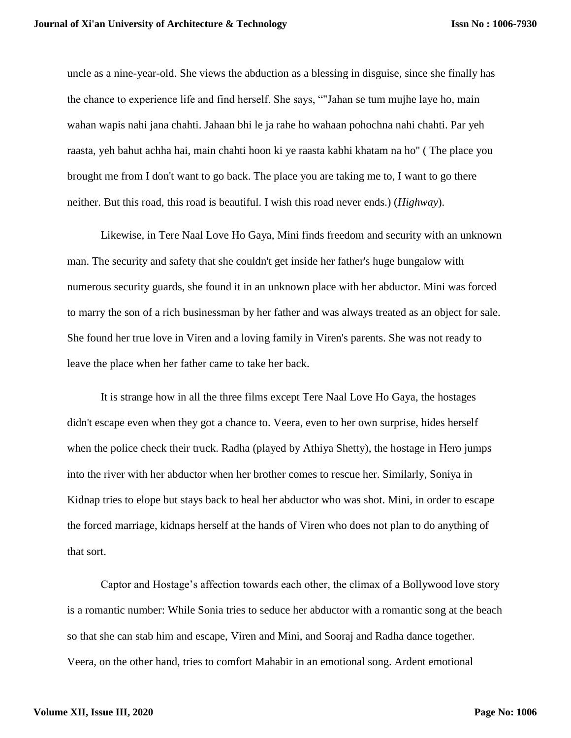uncle as a nine-year-old. She views the abduction as a blessing in disguise, since she finally has the chance to experience life and find herself. She says, ""Jahan se tum mujhe laye ho, main wahan wapis nahi jana chahti. Jahaan bhi le ja rahe ho wahaan pohochna nahi chahti. Par yeh raasta, yeh bahut achha hai, main chahti hoon ki ye raasta kabhi khatam na ho" ( The place you brought me from I don't want to go back. The place you are taking me to, I want to go there neither. But this road, this road is beautiful. I wish this road never ends.) (*Highway*).

Likewise, in Tere Naal Love Ho Gaya, Mini finds freedom and security with an unknown man. The security and safety that she couldn't get inside her father's huge bungalow with numerous security guards, she found it in an unknown place with her abductor. Mini was forced to marry the son of a rich businessman by her father and was always treated as an object for sale. She found her true love in Viren and a loving family in Viren's parents. She was not ready to leave the place when her father came to take her back.

It is strange how in all the three films except Tere Naal Love Ho Gaya, the hostages didn't escape even when they got a chance to. Veera, even to her own surprise, hides herself when the police check their truck. Radha (played by Athiya Shetty), the hostage in Hero jumps into the river with her abductor when her brother comes to rescue her. Similarly, Soniya in Kidnap tries to elope but stays back to heal her abductor who was shot. Mini, in order to escape the forced marriage, kidnaps herself at the hands of Viren who does not plan to do anything of that sort.

Captor and Hostage's affection towards each other, the climax of a Bollywood love story is a romantic number: While Sonia tries to seduce her abductor with a romantic song at the beach so that she can stab him and escape, Viren and Mini, and Sooraj and Radha dance together. Veera, on the other hand, tries to comfort Mahabir in an emotional song. Ardent emotional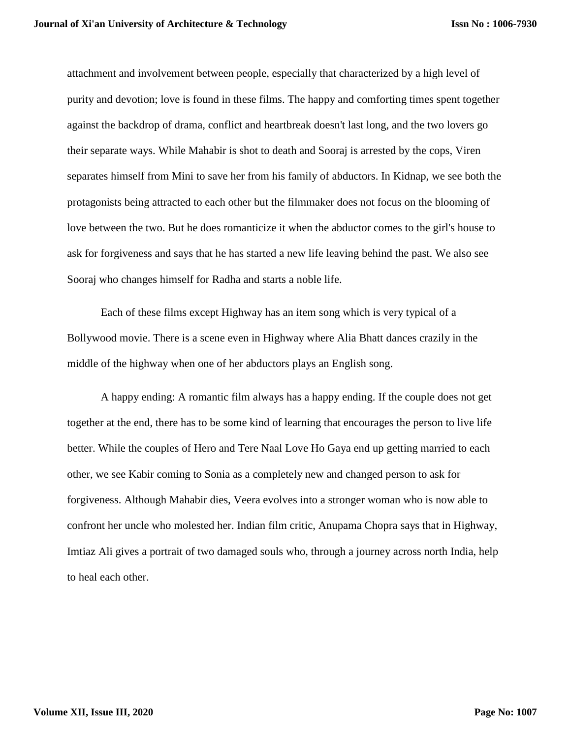attachment and involvement between people, especially that characterized by a high level of purity and devotion; love is found in these films. The happy and comforting times spent together against the backdrop of drama, conflict and heartbreak doesn't last long, and the two lovers go their separate ways. While Mahabir is shot to death and Sooraj is arrested by the cops, Viren separates himself from Mini to save her from his family of abductors. In Kidnap, we see both the protagonists being attracted to each other but the filmmaker does not focus on the blooming of love between the two. But he does romanticize it when the abductor comes to the girl's house to ask for forgiveness and says that he has started a new life leaving behind the past. We also see Sooraj who changes himself for Radha and starts a noble life.

Each of these films except Highway has an item song which is very typical of a Bollywood movie. There is a scene even in Highway where Alia Bhatt dances crazily in the middle of the highway when one of her abductors plays an English song.

A happy ending: A romantic film always has a happy ending. If the couple does not get together at the end, there has to be some kind of learning that encourages the person to live life better. While the couples of Hero and Tere Naal Love Ho Gaya end up getting married to each other, we see Kabir coming to Sonia as a completely new and changed person to ask for forgiveness. Although Mahabir dies, Veera evolves into a stronger woman who is now able to confront her uncle who molested her. Indian film critic, Anupama Chopra says that in Highway, Imtiaz Ali gives a portrait of two damaged souls who, through a journey across north India, help to heal each other.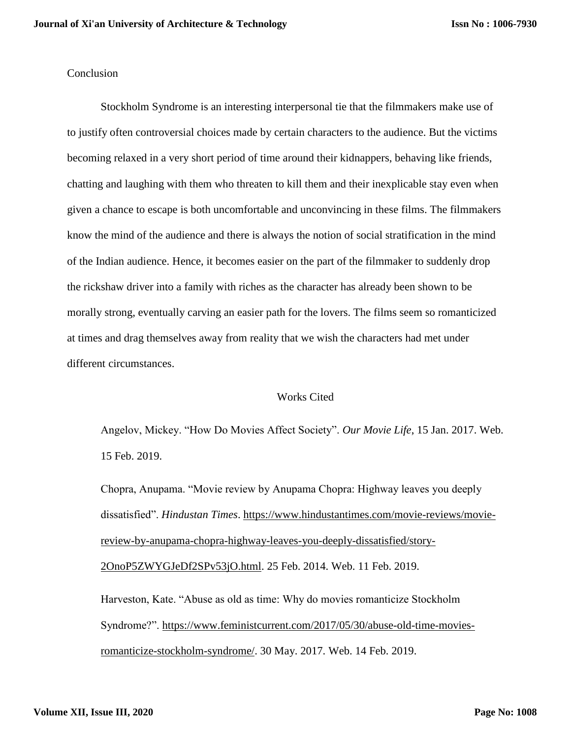## **Conclusion**

Stockholm Syndrome is an interesting interpersonal tie that the filmmakers make use of to justify often controversial choices made by certain characters to the audience. But the victims becoming relaxed in a very short period of time around their kidnappers, behaving like friends, chatting and laughing with them who threaten to kill them and their inexplicable stay even when given a chance to escape is both uncomfortable and unconvincing in these films. The filmmakers know the mind of the audience and there is always the notion of social stratification in the mind of the Indian audience. Hence, it becomes easier on the part of the filmmaker to suddenly drop the rickshaw driver into a family with riches as the character has already been shown to be morally strong, eventually carving an easier path for the lovers. The films seem so romanticized at times and drag themselves away from reality that we wish the characters had met under different circumstances.

## Works Cited

Angelov, Mickey. "How Do Movies Affect Society". *Our Movie Life*, 15 Jan. 2017. Web. 15 Feb. 2019.

Chopra, Anupama. "Movie review by Anupama Chopra: Highway leaves you deeply dissatisfied". *Hindustan Times*. [https://www.hindustantimes.com/movie-reviews/movie](https://www.hindustantimes.com/movie-reviews/movie-review-by-anupama-chopra-highway-leaves-you-deeply-dissatisfied/story-2OnoP5ZWYGJeDf2SPv53jO.html)[review-by-anupama-chopra-highway-leaves-you-deeply-dissatisfied/story-](https://www.hindustantimes.com/movie-reviews/movie-review-by-anupama-chopra-highway-leaves-you-deeply-dissatisfied/story-2OnoP5ZWYGJeDf2SPv53jO.html)[2OnoP5ZWYGJeDf2SPv53jO.html.](https://www.hindustantimes.com/movie-reviews/movie-review-by-anupama-chopra-highway-leaves-you-deeply-dissatisfied/story-2OnoP5ZWYGJeDf2SPv53jO.html) 25 Feb. 2014. Web. 11 Feb. 2019.

Harveston, Kate. "Abuse as old as time: Why do movies romanticize Stockholm Syndrome?". [https://www.feministcurrent.com/2017/05/30/abuse-old-time-movies](https://www.feministcurrent.com/2017/05/30/abuse-old-time-movies-romanticize-stockholm-syndrome/)[romanticize-stockholm-syndrome/.](https://www.feministcurrent.com/2017/05/30/abuse-old-time-movies-romanticize-stockholm-syndrome/) 30 May. 2017. Web. 14 Feb. 2019.